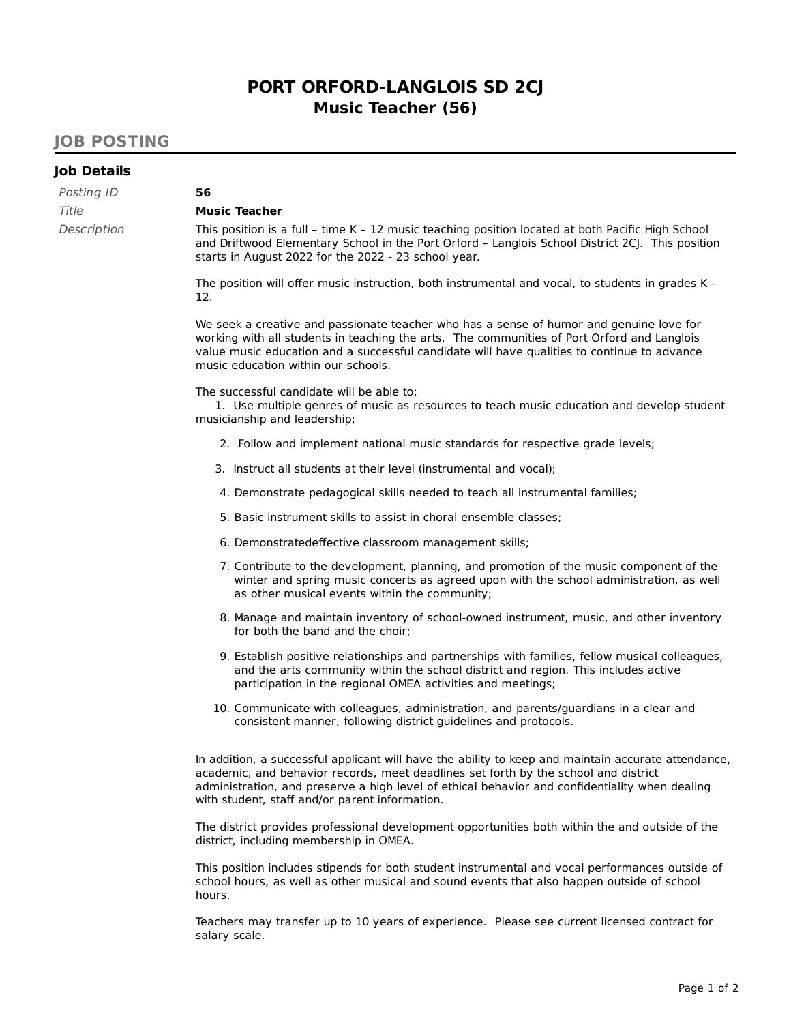# **PORT ORFORD-LANGLOIS SD 2CJ Music Teacher (56)**

## **JOB POSTING**

#### **Job Details**

| Posting ID  | 56   |
|-------------|------|
| Title       | Mu   |
| Description | Thi: |

#### **Music Teacher**

This position is a full – time K – 12 music teaching position located at both Pacific High School and Driftwood Elementary School in the Port Orford – Langlois School District 2CJ. This position starts in August 2022 for the 2022 - 23 school year.

The position will offer music instruction, both instrumental and vocal, to students in grades K – 12.

We seek a creative and passionate teacher who has a sense of humor and genuine love for working with all students in teaching the arts. The communities of Port Orford and Langlois value music education and a successful candidate will have qualities to continue to advance music education within our schools.

The successful candidate will be able to:

1. Use multiple genres of music as resources to teach music education and develop student musicianship and leadership;

- 2. Follow and implement national music standards for respective grade levels;
- 3. Instruct all students at their level (instrumental and vocal);
- 4. Demonstrate pedagogical skills needed to teach all instrumental families;
- 5. Basic instrument skills to assist in choral ensemble classes;
- 6. Demonstratedeffective classroom management skills;
- 7. Contribute to the development, planning, and promotion of the music component of the winter and spring music concerts as agreed upon with the school administration, as well as other musical events within the community;
- 8. Manage and maintain inventory of school-owned instrument, music, and other inventory for both the band and the choir;
- 9. Establish positive relationships and partnerships with families, fellow musical colleagues, and the arts community within the school district and region. This includes active participation in the regional OMEA activities and meetings;
- 10. Communicate with colleagues, administration, and parents/guardians in a clear and consistent manner, following district guidelines and protocols.

In addition, a successful applicant will have the ability to keep and maintain accurate attendance, academic, and behavior records, meet deadlines set forth by the school and district administration, and preserve a high level of ethical behavior and confidentiality when dealing with student, staff and/or parent information.

The district provides professional development opportunities both within the and outside of the district, including membership in OMEA.

This position includes stipends for both student instrumental and vocal performances outside of school hours, as well as other musical and sound events that also happen outside of school hours.

Teachers may transfer up to 10 years of experience. Please see current licensed contract for salary scale.